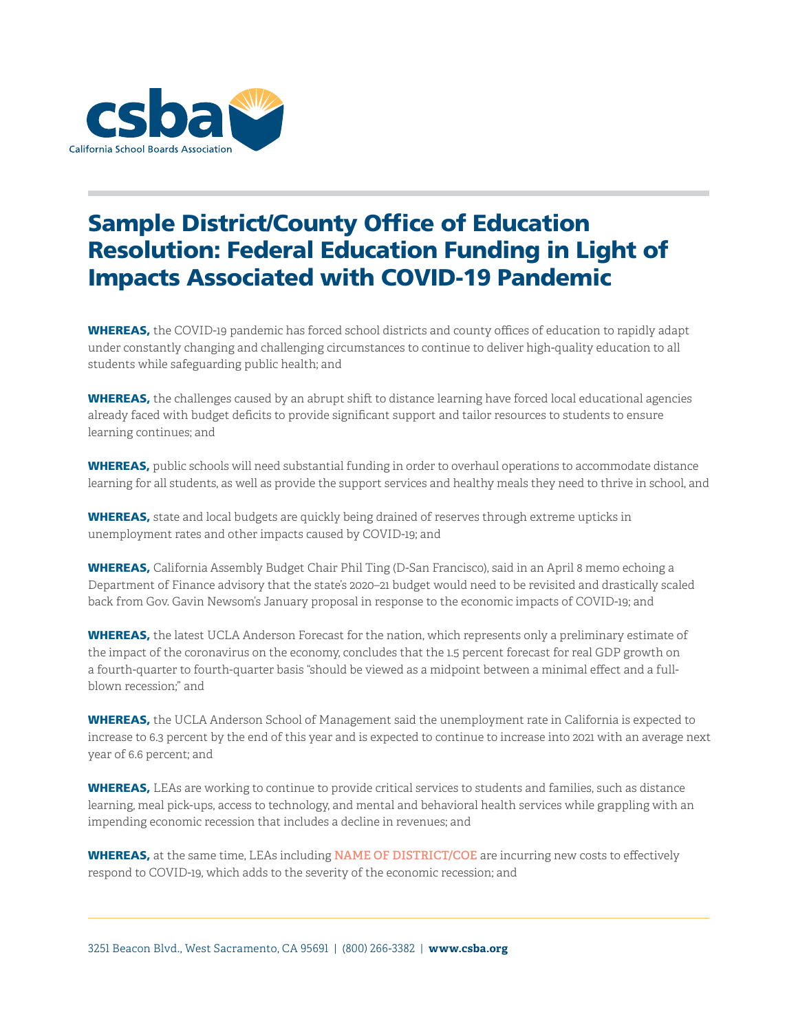

## Sample District/County Office of Education Resolution: Federal Education Funding in Light of Impacts Associated with COVID-19 Pandemic

WHEREAS, the COVID-19 pandemic has forced school districts and county offices of education to rapidly adapt under constantly changing and challenging circumstances to continue to deliver high-quality education to all students while safeguarding public health; and

WHEREAS, the challenges caused by an abrupt shift to distance learning have forced local educational agencies already faced with budget deficits to provide significant support and tailor resources to students to ensure learning continues; and

WHEREAS, public schools will need substantial funding in order to overhaul operations to accommodate distance learning for all students, as well as provide the support services and healthy meals they need to thrive in school, and

WHEREAS, state and local budgets are quickly being drained of reserves through extreme upticks in unemployment rates and other impacts caused by COVID-19; and

WHEREAS, California Assembly Budget Chair Phil Ting (D-San Francisco), said in an April 8 memo echoing a Department of Finance advisory that the state's 2020–21 budget would need to be revisited and drastically scaled back from Gov. Gavin Newsom's January proposal in response to the economic impacts of COVID-19; and

WHEREAS, the latest UCLA Anderson Forecast for the nation, which represents only a preliminary estimate of the impact of the coronavirus on the economy, concludes that the 1.5 percent forecast for real GDP growth on a fourth-quarter to fourth-quarter basis "should be viewed as a midpoint between a minimal effect and a fullblown recession;" and

WHEREAS, the UCLA Anderson School of Management said the unemployment rate in California is expected to increase to 6.3 percent by the end of this year and is expected to continue to increase into 2021 with an average next year of 6.6 percent; and

WHEREAS, LEAs are working to continue to provide critical services to students and families, such as distance learning, meal pick-ups, access to technology, and mental and behavioral health services while grappling with an impending economic recession that includes a decline in revenues; and

WHEREAS, at the same time, LEAs including **NAME OF DISTRICT/COE** are incurring new costs to effectively respond to COVID-19, which adds to the severity of the economic recession; and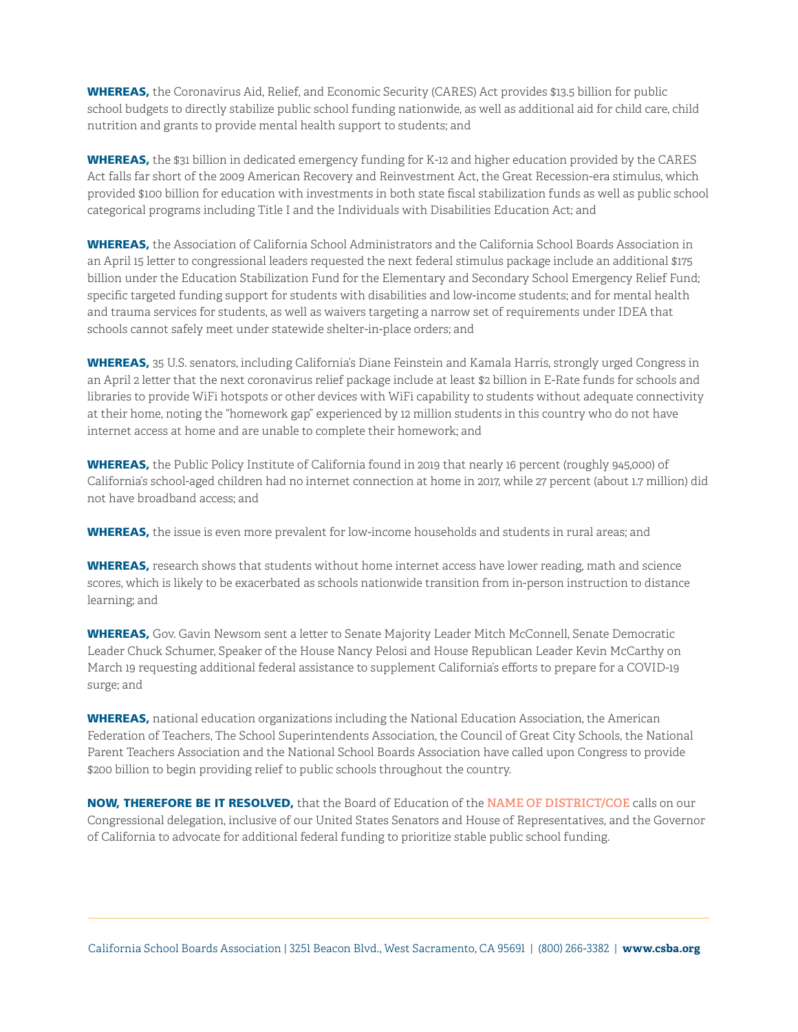WHEREAS, the Coronavirus Aid, Relief, and Economic Security (CARES) Act provides \$13.5 billion for public school budgets to directly stabilize public school funding nationwide, as well as additional aid for child care, child nutrition and grants to provide mental health support to students; and

WHEREAS, the \$31 billion in dedicated emergency funding for K-12 and higher education provided by the CARES Act falls far short of the 2009 American Recovery and Reinvestment Act, the Great Recession-era stimulus, which provided \$100 billion for education with investments in both state fiscal stabilization funds as well as public school categorical programs including Title I and the Individuals with Disabilities Education Act; and

WHEREAS, the Association of California School Administrators and the California School Boards Association in an April 15 letter to congressional leaders requested the next federal stimulus package include an additional \$175 billion under the Education Stabilization Fund for the Elementary and Secondary School Emergency Relief Fund; specific targeted funding support for students with disabilities and low-income students; and for mental health and trauma services for students, as well as waivers targeting a narrow set of requirements under IDEA that schools cannot safely meet under statewide shelter-in-place orders; and

WHEREAS, 35 U.S. senators, including California's Diane Feinstein and Kamala Harris, strongly urged Congress in an April 2 letter that the next coronavirus relief package include at least \$2 billion in E-Rate funds for schools and libraries to provide WiFi hotspots or other devices with WiFi capability to students without adequate connectivity at their home, noting the "homework gap" experienced by 12 million students in this country who do not have internet access at home and are unable to complete their homework; and

WHEREAS, the Public Policy Institute of California found in 2019 that nearly 16 percent (roughly 945,000) of California's school-aged children had no internet connection at home in 2017, while 27 percent (about 1.7 million) did not have broadband access; and

WHEREAS, the issue is even more prevalent for low-income households and students in rural areas; and

WHEREAS, research shows that students without home internet access have lower reading, math and science scores, which is likely to be exacerbated as schools nationwide transition from in-person instruction to distance learning; and

WHEREAS, Gov. Gavin Newsom sent a letter to Senate Majority Leader Mitch McConnell, Senate Democratic Leader Chuck Schumer, Speaker of the House Nancy Pelosi and House Republican Leader Kevin McCarthy on March 19 requesting additional federal assistance to supplement California's efforts to prepare for a COVID-19 surge; and

WHEREAS, national education organizations including the National Education Association, the American Federation of Teachers, The School Superintendents Association, the Council of Great City Schools, the National Parent Teachers Association and the National School Boards Association have called upon Congress to provide \$200 billion to begin providing relief to public schools throughout the country.

NOW, THEREFORE BE IT RESOLVED, that the Board of Education of the **NAME OF DISTRICT/COE** calls on our Congressional delegation, inclusive of our United States Senators and House of Representatives, and the Governor of California to advocate for additional federal funding to prioritize stable public school funding.